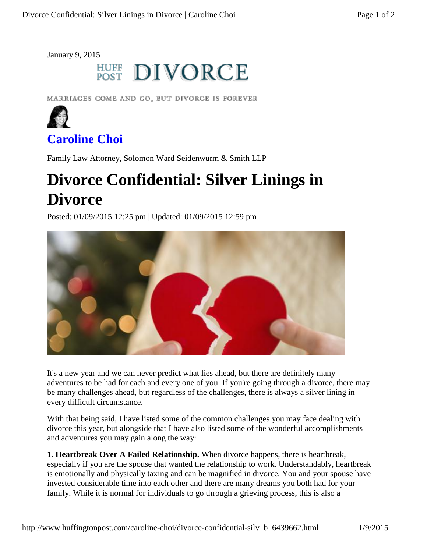January 9, 2015

## **HUFF DIVORCE**

MARRIAGES COME AND GO, BUT DIVORCE IS FOREVER



## **Caroline Choi**

Family Law Attorney, Solomon Ward Seidenwurm & Smith LLP

## **Divorce Confidential: Silver Linings in Divorce**

Posted: 01/09/2015 12:25 pm | Updated: 01/09/2015 12:59 pm



It's a new year and we can never predict what lies ahead, but there are definitely many adventures to be had for each and every one of you. If you're going through a divorce, there may be many challenges ahead, but regardless of the challenges, there is always a silver lining in every difficult circumstance.

With that being said, I have listed some of the common challenges you may face dealing with divorce this year, but alongside that I have also listed some of the wonderful accomplishments and adventures you may gain along the way:

**1. Heartbreak Over A Failed Relationship.** When divorce happens, there is heartbreak, especially if you are the spouse that wanted the relationship to work. Understandably, heartbreak is emotionally and physically taxing and can be magnified in divorce. You and your spouse have invested considerable time into each other and there are many dreams you both had for your family. While it is normal for individuals to go through a grieving process, this is also a